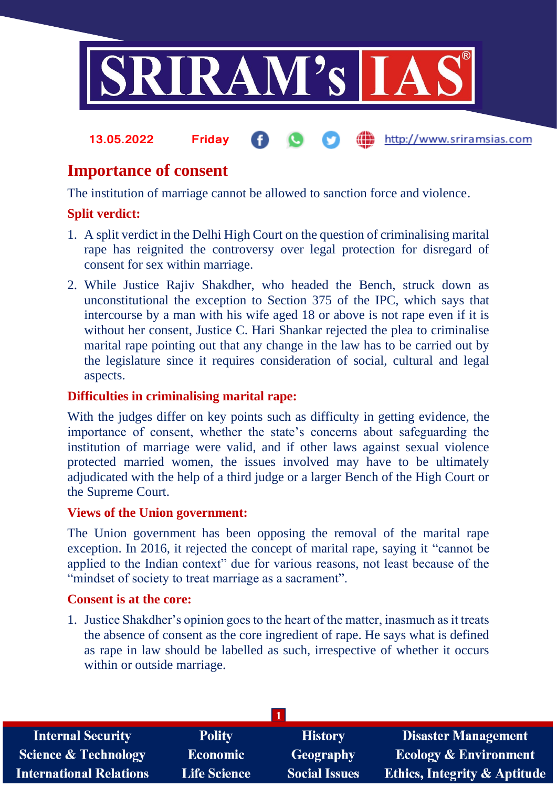

http://www.sriramsias.com

# **Importance of consent**

**13.05.2022 Friday**

The institution of marriage cannot be allowed to sanction force and violence.

# **Split verdict:**

- 1. A split verdict in the Delhi High Court on the question of criminalising marital rape has reignited the controversy over legal protection for disregard of consent for sex within marriage.
- 2. While Justice Rajiv Shakdher, who headed the Bench, struck down as unconstitutional the exception to Section 375 of the IPC, which says that intercourse by a man with his wife aged 18 or above is not rape even if it is without her consent, Justice C. Hari Shankar rejected the plea to criminalise marital rape pointing out that any change in the law has to be carried out by the legislature since it requires consideration of social, cultural and legal aspects.

# **Difficulties in criminalising marital rape:**

With the judges differ on key points such as difficulty in getting evidence, the importance of consent, whether the state's concerns about safeguarding the institution of marriage were valid, and if other laws against sexual violence protected married women, the issues involved may have to be ultimately adjudicated with the help of a third judge or a larger Bench of the High Court or the Supreme Court.

#### **Views of the Union government:**

The Union government has been opposing the removal of the marital rape exception. In 2016, it rejected the concept of marital rape, saying it "cannot be applied to the Indian context" due for various reasons, not least because of the "mindset of society to treat marriage as a sacrament".

#### **Consent is at the core:**

1. Justice Shakdher's opinion goes to the heart of the matter, inasmuch as it treats the absence of consent as the core ingredient of rape. He says what is defined as rape in law should be labelled as such, irrespective of whether it occurs within or outside marriage.

| <b>Internal Security</b>        | <b>Polity</b>       | <b>History</b>       | Disaster Management                     |
|---------------------------------|---------------------|----------------------|-----------------------------------------|
| <b>Science &amp; Technology</b> | <b>Economic</b>     | <b>Geography</b>     | <b>Ecology &amp; Environment</b>        |
| <b>International Relations</b>  | <b>Life Science</b> | <b>Social Issues</b> | <b>Ethics, Integrity &amp; Aptitude</b> |